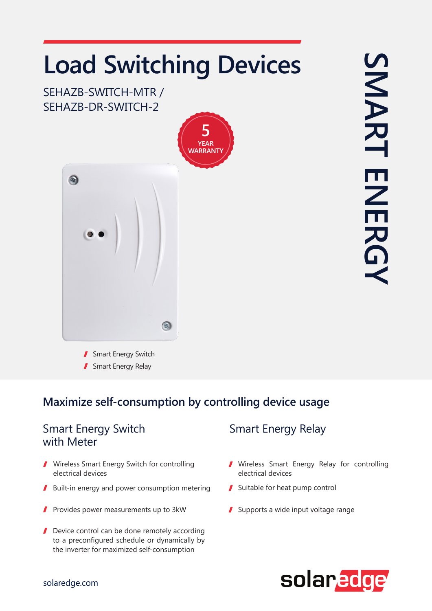# **Load Switching Devices**

SEHAZB-SWITCH-MTR / SEHAZB-DR-SWITCH-2





SMART ENERGY SMART **ENERG** 

Smart Energy Switch Smart Energy Relay

## **Maximize self-consumption by controlling device usage**

#### Smart Energy Switch with Meter

- **/ Wireless Smart Energy Switch for controlling** electrical devices
- **J** Built-in energy and power consumption metering  $\blacksquare$  Suitable for heat pump control
- $\blacksquare$  Provides power measurements up to 3kW
- $\blacksquare$  Device control can be done remotely according to a preconfigured schedule or dynamically by the inverter for maximized self-consumption

## **Smart Energy Relay**

- Wireless Smart Energy Relay for controlling electrical devices
- 
- $\blacksquare$  Supports a wide input voltage range